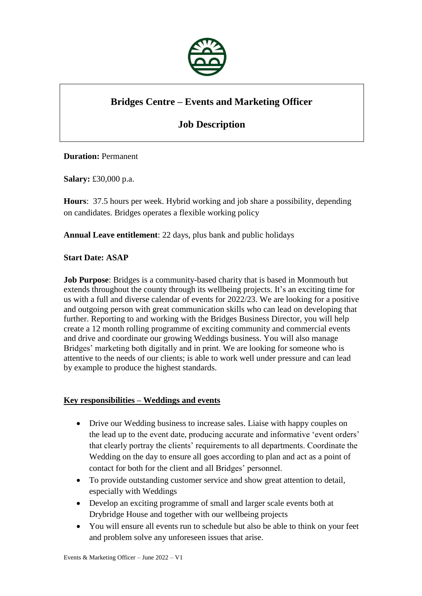

# **Bridges Centre – Events and Marketing Officer**

# **Job Description**

## **Duration:** Permanent

**Salary:** £30,000 p.a.

**Hours**: 37.5 hours per week. Hybrid working and job share a possibility, depending on candidates. Bridges operates a flexible working policy

**Annual Leave entitlement**: 22 days, plus bank and public holidays

#### **Start Date: ASAP**

**Job Purpose**: Bridges is a community-based charity that is based in Monmouth but extends throughout the county through its wellbeing projects. It's an exciting time for us with a full and diverse calendar of events for 2022/23. We are looking for a positive and outgoing person with great communication skills who can lead on developing that further. Reporting to and working with the Bridges Business Director, you will help create a 12 month rolling programme of exciting community and commercial events and drive and coordinate our growing Weddings business. You will also manage Bridges' marketing both digitally and in print. We are looking for someone who is attentive to the needs of our clients; is able to work well under pressure and can lead by example to produce the highest standards.

## **Key responsibilities – Weddings and events**

- Drive our Wedding business to increase sales. Liaise with happy couples on the lead up to the event date, producing accurate and informative 'event orders' that clearly portray the clients' requirements to all departments. Coordinate the Wedding on the day to ensure all goes according to plan and act as a point of contact for both for the client and all Bridges' personnel.
- To provide outstanding customer service and show great attention to detail, especially with Weddings
- Develop an exciting programme of small and larger scale events both at Drybridge House and together with our wellbeing projects
- You will ensure all events run to schedule but also be able to think on your feet and problem solve any unforeseen issues that arise.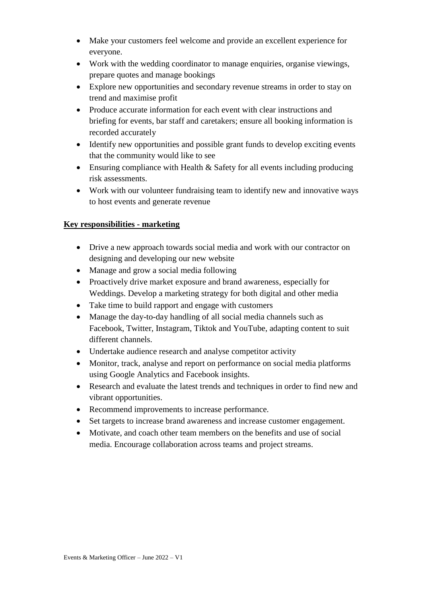- Make your customers feel welcome and provide an excellent experience for everyone.
- Work with the wedding coordinator to manage enquiries, organise viewings, prepare quotes and manage bookings
- Explore new opportunities and secondary revenue streams in order to stay on trend and maximise profit
- Produce accurate information for each event with clear instructions and briefing for events, bar staff and caretakers; ensure all booking information is recorded accurately
- Identify new opportunities and possible grant funds to develop exciting events that the community would like to see
- Ensuring compliance with Health & Safety for all events including producing risk assessments.
- Work with our volunteer fundraising team to identify new and innovative ways to host events and generate revenue

# **Key responsibilities - marketing**

- Drive a new approach towards social media and work with our contractor on designing and developing our new website
- Manage and grow a social media following
- Proactively drive market exposure and brand awareness, especially for Weddings. Develop a marketing strategy for both digital and other media
- Take time to build rapport and engage with customers
- Manage the day-to-day handling of all social media channels such as Facebook, Twitter, Instagram, Tiktok and YouTube, adapting content to suit different channels.
- Undertake audience research and analyse competitor activity
- Monitor, track, analyse and report on performance on social media platforms using Google Analytics and Facebook insights.
- Research and evaluate the latest trends and techniques in order to find new and vibrant opportunities.
- Recommend improvements to increase performance.
- Set targets to increase brand awareness and increase customer engagement.
- Motivate, and coach other team members on the benefits and use of social media. Encourage collaboration across teams and project streams.